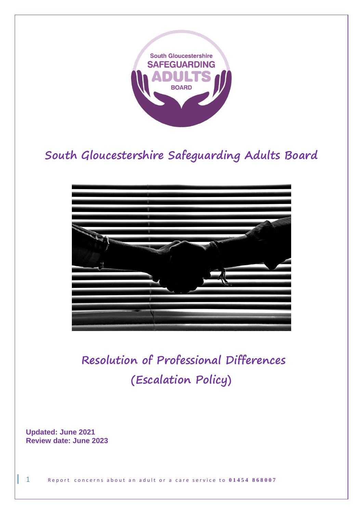

# **South Gloucestershire Safeguarding Adults Board**



**Resolution of Professional Differences (Escalation Policy)** 

**Updated: June 2021 Review date: June 2023**

1 Report concerns about an adult or a care service to 01454 868007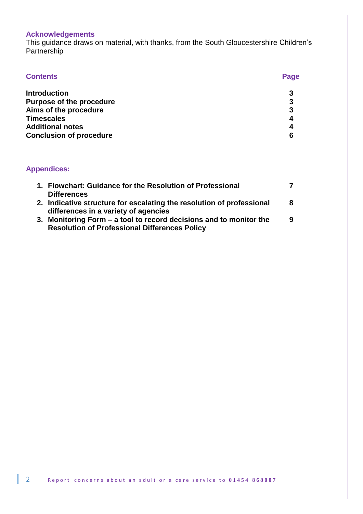# **Acknowledgements**

This guidance draws on material, with thanks, from the South Gloucestershire Children's Partnership

| <b>Contents</b>                 | Page |
|---------------------------------|------|
| <b>Introduction</b>             | 3    |
| <b>Purpose of the procedure</b> | 3    |
| Aims of the procedure           | 3    |
| <b>Timescales</b>               | 4    |
| <b>Additional notes</b>         | 4    |
| <b>Conclusion of procedure</b>  | 6    |
|                                 |      |

# **Appendices:**

| 1. Flowchart: Guidance for the Resolution of Professional                                                     |   |
|---------------------------------------------------------------------------------------------------------------|---|
| <b>Differences</b>                                                                                            |   |
| 2. Indicative structure for escalating the resolution of professional<br>differences in a variety of agencies | 8 |
| 3. Monitoring Form – a tool to record decisions and to monitor the                                            | 9 |
| <b>Resolution of Professional Differences Policy</b>                                                          |   |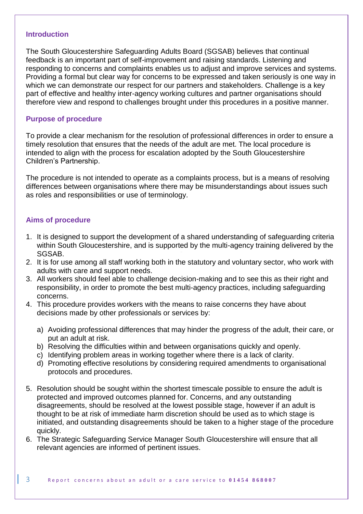#### **Introduction**

The South Gloucestershire Safeguarding Adults Board (SGSAB) believes that continual feedback is an important part of self-improvement and raising standards. Listening and responding to concerns and complaints enables us to adjust and improve services and systems. Providing a formal but clear way for concerns to be expressed and taken seriously is one way in which we can demonstrate our respect for our partners and stakeholders. Challenge is a key part of effective and healthy inter-agency working cultures and partner organisations should therefore view and respond to challenges brought under this procedures in a positive manner.

### **Purpose of procedure**

To provide a clear mechanism for the resolution of professional differences in order to ensure a timely resolution that ensures that the needs of the adult are met. The local procedure is intended to align with the process for escalation adopted by the South Gloucestershire Children's Partnership.

The procedure is not intended to operate as a complaints process, but is a means of resolving differences between organisations where there may be misunderstandings about issues such as roles and responsibilities or use of terminology.

# **Aims of procedure**

- 1. It is designed to support the development of a shared understanding of safeguarding criteria within South Gloucestershire, and is supported by the multi-agency training delivered by the SGSAB.
- 2. It is for use among all staff working both in the statutory and voluntary sector, who work with adults with care and support needs.
- 3. All workers should feel able to challenge decision-making and to see this as their right and responsibility, in order to promote the best multi-agency practices, including safeguarding concerns.
- 4. This procedure provides workers with the means to raise concerns they have about decisions made by other professionals or services by:
	- a) Avoiding professional differences that may hinder the progress of the adult, their care, or put an adult at risk.
	- b) Resolving the difficulties within and between organisations quickly and openly.
	- c) Identifying problem areas in working together where there is a lack of clarity.
	- d) Promoting effective resolutions by considering required amendments to organisational protocols and procedures.
- 5. Resolution should be sought within the shortest timescale possible to ensure the adult is protected and improved outcomes planned for. Concerns, and any outstanding disagreements, should be resolved at the lowest possible stage, however if an adult is thought to be at risk of immediate harm discretion should be used as to which stage is initiated, and outstanding disagreements should be taken to a higher stage of the procedure quickly.
- 6. The Strategic Safeguarding Service Manager South Gloucestershire will ensure that all relevant agencies are informed of pertinent issues.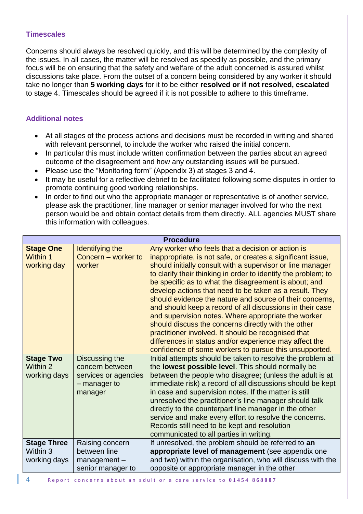#### **Timescales**

Concerns should always be resolved quickly, and this will be determined by the complexity of the issues. In all cases, the matter will be resolved as speedily as possible, and the primary focus will be on ensuring that the safety and welfare of the adult concerned is assured whilst discussions take place. From the outset of a concern being considered by any worker it should take no longer than **5 working days** for it to be either **resolved or if not resolved, escalated** to stage 4. Timescales should be agreed if it is not possible to adhere to this timeframe.

# **Additional notes**

- At all stages of the process actions and decisions must be recorded in writing and shared with relevant personnel, to include the worker who raised the initial concern.
- In particular this must include written confirmation between the parties about an agreed outcome of the disagreement and how any outstanding issues will be pursued.
- Please use the "Monitoring form" (Appendix 3) at stages 3 and 4.
- It may be useful for a reflective debrief to be facilitated following some disputes in order to promote continuing good working relationships.
- In order to find out who the appropriate manager or representative is of another service, please ask the practitioner, line manager or senior manager involved for who the next person would be and obtain contact details from them directly. ALL agencies MUST share this information with colleagues.

| <b>Procedure</b>                                   |                                                                                      |                                                                                                                                                                                                                                                                                                                                                                                                                                                                                                                                                                                                                                                                    |  |  |
|----------------------------------------------------|--------------------------------------------------------------------------------------|--------------------------------------------------------------------------------------------------------------------------------------------------------------------------------------------------------------------------------------------------------------------------------------------------------------------------------------------------------------------------------------------------------------------------------------------------------------------------------------------------------------------------------------------------------------------------------------------------------------------------------------------------------------------|--|--|
| <b>Stage One</b><br><b>Within 1</b><br>working day | <b>Identifying the</b><br>Concern - worker to<br>worker                              | Any worker who feels that a decision or action is<br>inappropriate, is not safe, or creates a significant issue,<br>should initially consult with a supervisor or line manager<br>to clarify their thinking in order to identify the problem; to<br>be specific as to what the disagreement is about; and<br>develop actions that need to be taken as a result. They<br>should evidence the nature and source of their concerns,<br>and should keep a record of all discussions in their case<br>and supervision notes. Where appropriate the worker<br>should discuss the concerns directly with the other<br>practitioner involved. It should be recognised that |  |  |
|                                                    |                                                                                      | differences in status and/or experience may affect the<br>confidence of some workers to pursue this unsupported.                                                                                                                                                                                                                                                                                                                                                                                                                                                                                                                                                   |  |  |
| <b>Stage Two</b><br>Within 2<br>working days       | Discussing the<br>concern between<br>services or agencies<br>- manager to<br>manager | Initial attempts should be taken to resolve the problem at<br>the lowest possible level. This should normally be<br>between the people who disagree; (unless the adult is at<br>immediate risk) a record of all discussions should be kept<br>in case and supervision notes. If the matter is still<br>unresolved the practitioner's line manager should talk<br>directly to the counterpart line manager in the other<br>service and make every effort to resolve the concerns.<br>Records still need to be kept and resolution<br>communicated to all parties in writing.                                                                                        |  |  |
| <b>Stage Three</b><br>Within 3                     | Raising concern<br>between line                                                      | If unresolved, the problem should be referred to an<br>appropriate level of management (see appendix one                                                                                                                                                                                                                                                                                                                                                                                                                                                                                                                                                           |  |  |
| working days                                       | $m$ anagement $-$<br>senior manager to                                               | and two) within the organisation, who will discuss with the<br>opposite or appropriate manager in the other                                                                                                                                                                                                                                                                                                                                                                                                                                                                                                                                                        |  |  |
|                                                    |                                                                                      |                                                                                                                                                                                                                                                                                                                                                                                                                                                                                                                                                                                                                                                                    |  |  |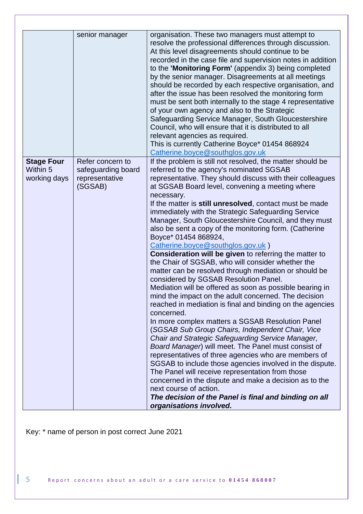| organisation. These two managers must attempt to<br>senior manager<br>resolve the professional differences through discussion.<br>At this level disagreements should continue to be<br>recorded in the case file and supervision notes in addition<br>to the 'Monitoring Form' (appendix 3) being completed<br>by the senior manager. Disagreements at all meetings<br>should be recorded by each respective organisation, and                                                                                                                                                                                                                                                                                                                                                                                                                                                                                                                                                                                                                                                                                                                                                                                                                                                                                                                                                                                                                                                                                          |
|-------------------------------------------------------------------------------------------------------------------------------------------------------------------------------------------------------------------------------------------------------------------------------------------------------------------------------------------------------------------------------------------------------------------------------------------------------------------------------------------------------------------------------------------------------------------------------------------------------------------------------------------------------------------------------------------------------------------------------------------------------------------------------------------------------------------------------------------------------------------------------------------------------------------------------------------------------------------------------------------------------------------------------------------------------------------------------------------------------------------------------------------------------------------------------------------------------------------------------------------------------------------------------------------------------------------------------------------------------------------------------------------------------------------------------------------------------------------------------------------------------------------------|
| after the issue has been resolved the monitoring form<br>must be sent both internally to the stage 4 representative<br>of your own agency and also to the Strategic<br>Safeguarding Service Manager, South Gloucestershire<br>Council, who will ensure that it is distributed to all<br>relevant agencies as required.<br>This is currently Catherine Boyce* 01454 868924<br>Catherine.boyce@southglos.gov.uk                                                                                                                                                                                                                                                                                                                                                                                                                                                                                                                                                                                                                                                                                                                                                                                                                                                                                                                                                                                                                                                                                                           |
| <b>Stage Four</b><br>Refer concern to<br>If the problem is still not resolved, the matter should be                                                                                                                                                                                                                                                                                                                                                                                                                                                                                                                                                                                                                                                                                                                                                                                                                                                                                                                                                                                                                                                                                                                                                                                                                                                                                                                                                                                                                     |
| Within 5<br>referred to the agency's nominated SGSAB<br>safeguarding board<br>representative<br>representative. They should discuss with their colleagues<br>working days<br>(SGSAB)<br>at SGSAB Board level, convening a meeting where<br>necessary.<br>If the matter is still unresolved, contact must be made<br>immediately with the Strategic Safeguarding Service<br>Manager, South Gloucestershire Council, and they must<br>also be sent a copy of the monitoring form. (Catherine<br>Boyce* 01454 868924,<br>Catherine.boyce@southglos.gov.uk)<br><b>Consideration will be given to referring the matter to</b><br>the Chair of SGSAB, who will consider whether the<br>matter can be resolved through mediation or should be<br>considered by SGSAB Resolution Panel.<br>Mediation will be offered as soon as possible bearing in<br>mind the impact on the adult concerned. The decision<br>reached in mediation is final and binding on the agencies<br>concerned.<br>In more complex matters a SGSAB Resolution Panel<br>(SGSAB Sub Group Chairs, Independent Chair, Vice<br>Chair and Strategic Safeguarding Service Manager,<br>Board Manager) will meet. The Panel must consist of<br>representatives of three agencies who are members of<br>SGSAB to include those agencies involved in the dispute.<br>The Panel will receive representation from those<br>concerned in the dispute and make a decision as to the<br>next course of action.<br>The decision of the Panel is final and binding on all |
| organisations involved.                                                                                                                                                                                                                                                                                                                                                                                                                                                                                                                                                                                                                                                                                                                                                                                                                                                                                                                                                                                                                                                                                                                                                                                                                                                                                                                                                                                                                                                                                                 |

Key: \* name of person in post correct June 2021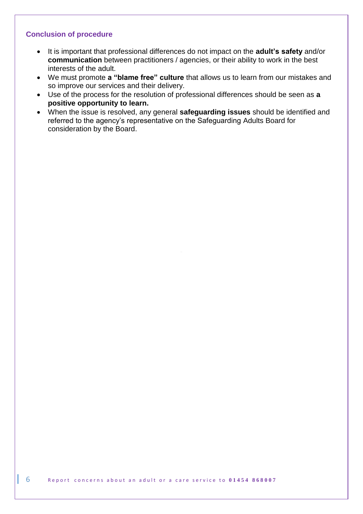# **Conclusion of procedure**

- It is important that professional differences do not impact on the **adult's safety** and/or **communication** between practitioners / agencies, or their ability to work in the best interests of the adult.
- We must promote **a "blame free" culture** that allows us to learn from our mistakes and so improve our services and their delivery.
- Use of the process for the resolution of professional differences should be seen as **a positive opportunity to learn.**
- When the issue is resolved, any general **safeguarding issues** should be identified and referred to the agency's representative on the Safeguarding Adults Board for consideration by the Board.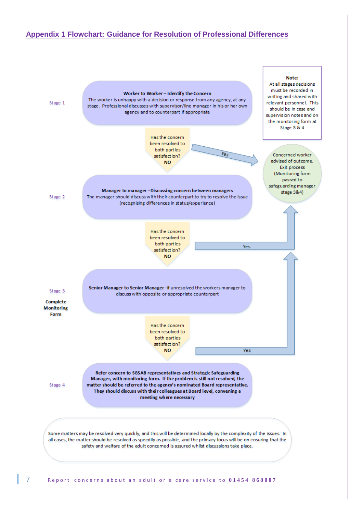

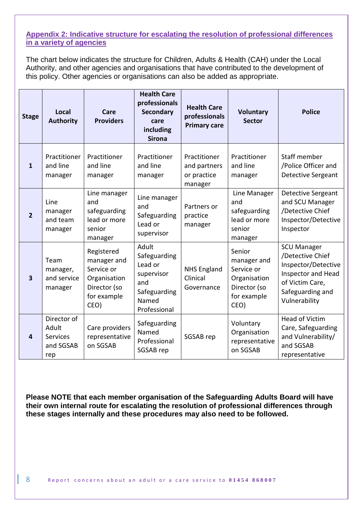# **Appendix 2: Indicative structure for escalating the resolution of professional differences in a variety of agencies**

The chart below indicates the structure for Children, Adults & Health (CAH) under the Local Authority, and other agencies and organisations that have contributed to the development of this policy. Other agencies or organisations can also be added as appropriate.

| <b>Stage</b>   | Local<br><b>Authority</b>                                   | Care<br><b>Providers</b>                                                                       | <b>Health Care</b><br>professionals<br><b>Secondary</b><br>care<br>including<br><b>Sirona</b>  | <b>Health Care</b><br>professionals<br><b>Primary care</b> | <b>Voluntary</b><br><b>Sector</b>                                                          | <b>Police</b>                                                                                                                               |
|----------------|-------------------------------------------------------------|------------------------------------------------------------------------------------------------|------------------------------------------------------------------------------------------------|------------------------------------------------------------|--------------------------------------------------------------------------------------------|---------------------------------------------------------------------------------------------------------------------------------------------|
| $\mathbf{1}$   | Practitioner<br>and line<br>manager                         | Practitioner<br>and line<br>manager                                                            | Practitioner<br>and line<br>manager                                                            | Practitioner<br>and partners<br>or practice<br>manager     | Practitioner<br>and line<br>manager                                                        | Staff member<br>/Police Officer and<br><b>Detective Sergeant</b>                                                                            |
| $\overline{2}$ | Line<br>manager<br>and team<br>manager                      | Line manager<br>and<br>safeguarding<br>lead or more<br>senior<br>manager                       | Line manager<br>and<br>Safeguarding<br>Lead or<br>supervisor                                   | Partners or<br>practice<br>manager                         | Line Manager<br>and<br>safeguarding<br>lead or more<br>senior<br>manager                   | <b>Detective Sergeant</b><br>and SCU Manager<br>/Detective Chief<br>Inspector/Detective<br>Inspector                                        |
| 3              | Team<br>manager,<br>and service<br>manager                  | Registered<br>manager and<br>Service or<br>Organisation<br>Director (so<br>for example<br>CEO) | Adult<br>Safeguarding<br>Lead or<br>supervisor<br>and<br>Safeguarding<br>Named<br>Professional | <b>NHS England</b><br>Clinical<br>Governance               | Senior<br>manager and<br>Service or<br>Organisation<br>Director (so<br>for example<br>CEO) | <b>SCU Manager</b><br>/Detective Chief<br>Inspector/Detective<br>Inspector and Head<br>of Victim Care,<br>Safeguarding and<br>Vulnerability |
| 4              | Director of<br>Adult<br><b>Services</b><br>and SGSAB<br>rep | Care providers<br>representative<br>on SGSAB                                                   | Safeguarding<br>Named<br>Professional<br>SGSAB rep                                             | SGSAB rep                                                  | Voluntary<br>Organisation<br>representative<br>on SGSAB                                    | <b>Head of Victim</b><br>Care, Safeguarding<br>and Vulnerability/<br>and SGSAB<br>representative                                            |

**Please NOTE that each member organisation of the Safeguarding Adults Board will have their own internal route for escalating the resolution of professional differences through these stages internally and these procedures may also need to be followed.**